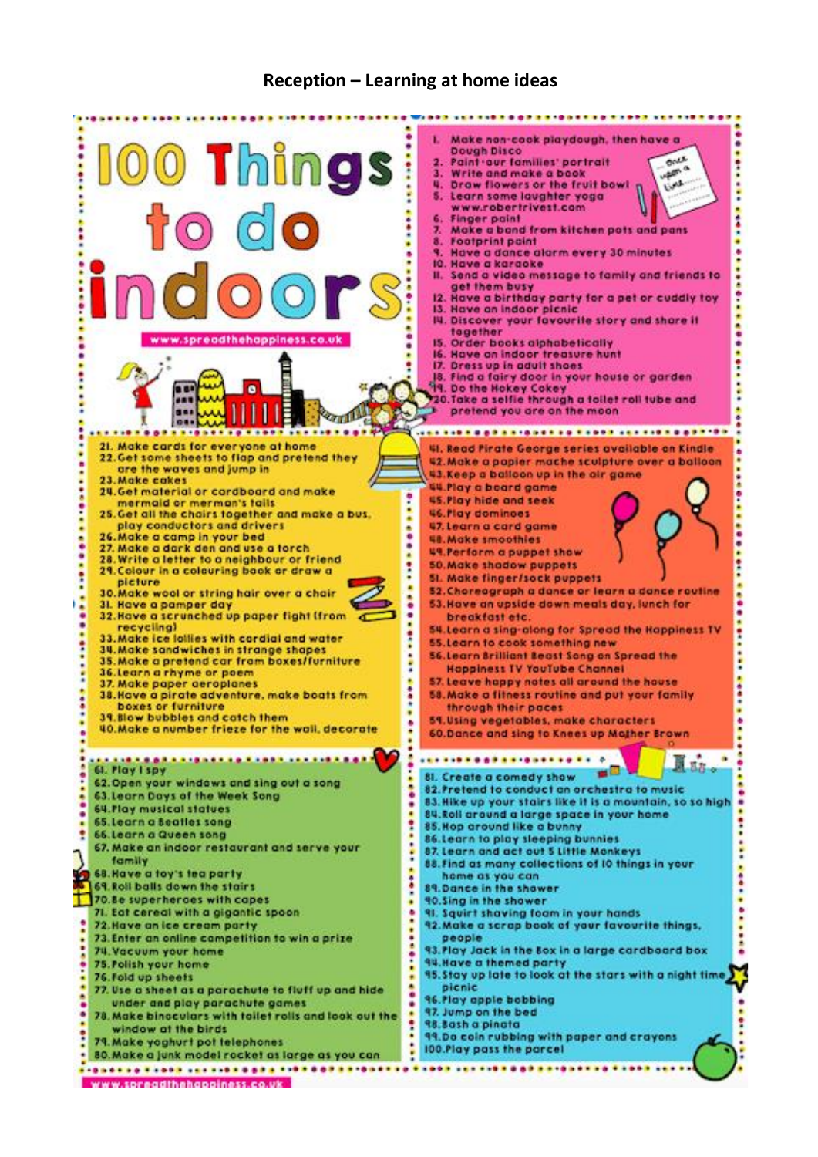## **Reception – Learning at home ideas**

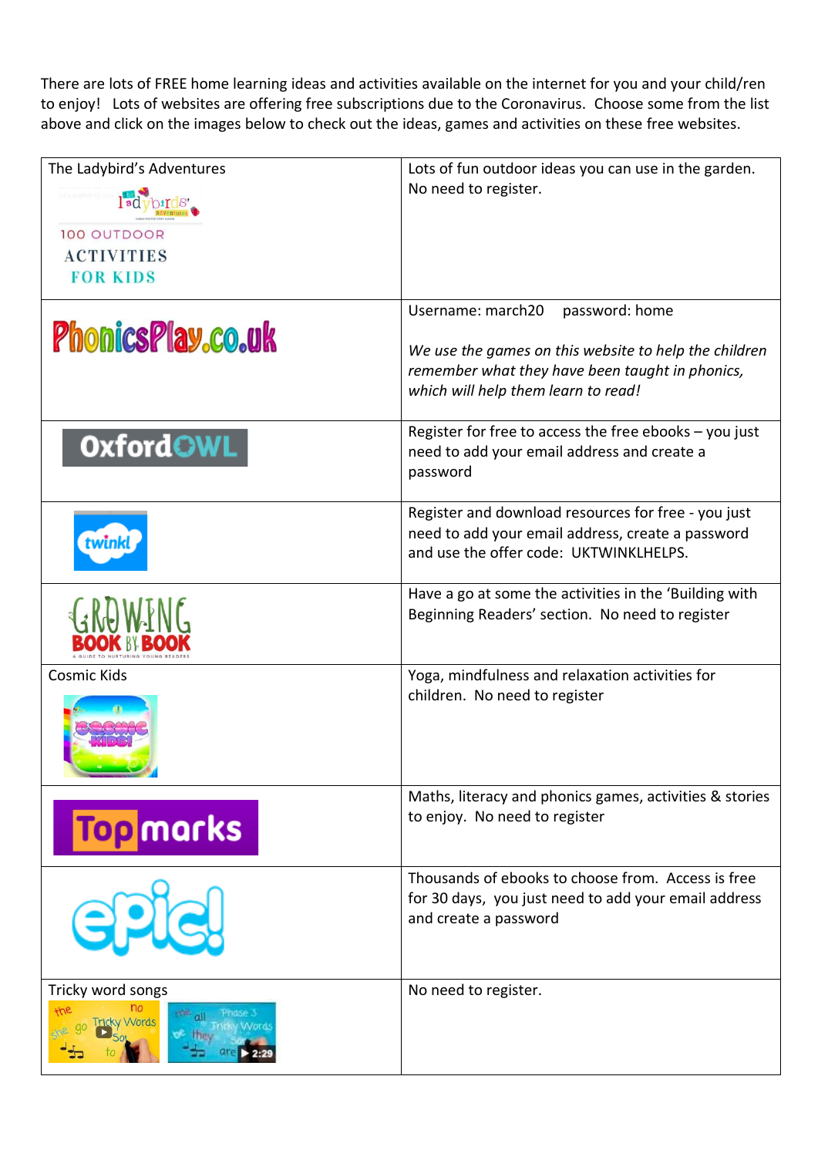There are lots of FREE home learning ideas and activities available on the internet for you and your child/ren to enjoy! Lots of websites are offering free subscriptions due to the Coronavirus. Choose some from the list above and click on the images below to check out the ideas, games and activities on these free websites.

| The Ladybird's Adventures<br>100 OUTDOOR<br><b>ACTIVITIES</b><br><b>FOR KIDS</b> | Lots of fun outdoor ideas you can use in the garden.<br>No need to register.                                                                                                           |
|----------------------------------------------------------------------------------|----------------------------------------------------------------------------------------------------------------------------------------------------------------------------------------|
| PhonicsPlay.co.uk                                                                | Username: march20<br>password: home<br>We use the games on this website to help the children<br>remember what they have been taught in phonics,<br>which will help them learn to read! |
| <b>OxfordOWL</b>                                                                 | Register for free to access the free ebooks $-$ you just<br>need to add your email address and create a<br>password                                                                    |
| twink                                                                            | Register and download resources for free - you just<br>need to add your email address, create a password<br>and use the offer code: UKTWINKLHELPS.                                     |
|                                                                                  | Have a go at some the activities in the 'Building with<br>Beginning Readers' section. No need to register                                                                              |
| Cosmic Kids                                                                      | Yoga, mindfulness and relaxation activities for<br>children. No need to register                                                                                                       |
| <b>Top</b> marks                                                                 | Maths, literacy and phonics games, activities & stories<br>to enjoy. No need to register                                                                                               |
| G2                                                                               | Thousands of ebooks to choose from. Access is free<br>for 30 days, you just need to add your email address<br>and create a password                                                    |
| Tricky word songs<br>the<br><b>ricky Words</b>                                   | No need to register.                                                                                                                                                                   |